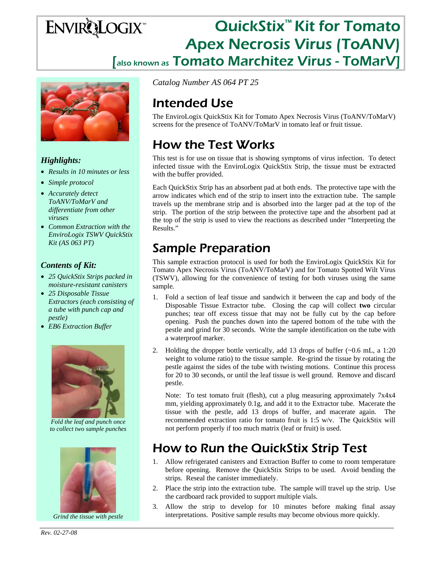# ENVIRQLOGIX<sup>™</sup> QuickStix<sup>™</sup> Kit for Tomato Apex Necrosis Virus (ToANV) [also known as Tomato Marchitez Virus - ToMarV]



#### *Highlights:*

- *Results in 10 minutes or less*
- *Simple protocol*
- *Accurately detect ToANV/ToMarV and differentiate from other viruses*
- *Common Extraction with the EnviroLogix TSWV QuickStix Kit (AS 063 PT)*

#### *Contents of Kit:*

- *25 QuickStix Strips packed in moisture-resistant canisters*
- *25 Disposable Tissue Extractors (each consisting of a tube with punch cap and pestle)*
- *EB6 Extraction Buffer*



*Fold the leaf and punch once to collect two sample punches* 



*Grind the tissue with pestle* 

*Catalog Number AS 064 PT 25*

# Intended Use

The EnviroLogix QuickStix Kit for Tomato Apex Necrosis Virus (ToANV/ToMarV) screens for the presence of ToANV/ToMarV in tomato leaf or fruit tissue.

# How the Test Works

This test is for use on tissue that is showing symptoms of virus infection. To detect infected tissue with the EnviroLogix QuickStix Strip, the tissue must be extracted with the buffer provided.

Each QuickStix Strip has an absorbent pad at both ends. The protective tape with the arrow indicates which end of the strip to insert into the extraction tube. The sample travels up the membrane strip and is absorbed into the larger pad at the top of the strip. The portion of the strip between the protective tape and the absorbent pad at the top of the strip is used to view the reactions as described under "Interpreting the Results."

## Sample Preparation

This sample extraction protocol is used for both the EnviroLogix QuickStix Kit for Tomato Apex Necrosis Virus (ToANV/ToMarV) and for Tomato Spotted Wilt Virus (TSWV), allowing for the convenience of testing for both viruses using the same sample.

- 1. Fold a section of leaf tissue and sandwich it between the cap and body of the Disposable Tissue Extractor tube. Closing the cap will collect **two** circular punches; tear off excess tissue that may not be fully cut by the cap before opening. Push the punches down into the tapered bottom of the tube with the pestle and grind for 30 seconds. Write the sample identification on the tube with a waterproof marker.
- 2. Holding the dropper bottle vertically, add 13 drops of buffer (~0.6 mL, a 1:20 weight to volume ratio) to the tissue sample. Re-grind the tissue by rotating the pestle against the sides of the tube with twisting motions. Continue this process for 20 to 30 seconds, or until the leaf tissue is well ground. Remove and discard pestle.

Note: To test tomato fruit (flesh), cut a plug measuring approximately 7x4x4 mm, yielding approximately 0.1g, and add it to the Extractor tube. Macerate the tissue with the pestle, add 13 drops of buffer, and macerate again. The recommended extraction ratio for tomato fruit is 1:5 w/v. The QuickStix will not perform properly if too much matrix (leaf or fruit) is used.

### How to Run the QuickStix Strip Test

- 1. Allow refrigerated canisters and Extraction Buffer to come to room temperature before opening. Remove the QuickStix Strips to be used. Avoid bending the strips. Reseal the canister immediately.
- 2. Place the strip into the extraction tube. The sample will travel up the strip. Use the cardboard rack provided to support multiple vials.
- 3. Allow the strip to develop for 10 minutes before making final assay interpretations. Positive sample results may become obvious more quickly.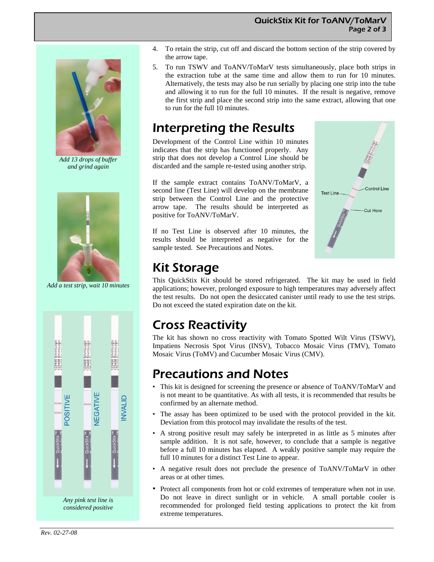#### QuickStix Kit for ToANV/ToMarV Page 2 of 3



*Add 13 drops of buffer and grind again* 



*Add a test strip, wait 10 minutes* 



- 4. To retain the strip, cut off and discard the bottom section of the strip covered by the arrow tape.
- 5. To run TSWV and ToANV/ToMarV tests simultaneously, place both strips in the extraction tube at the same time and allow them to run for 10 minutes. Alternatively, the tests may also be run serially by placing one strip into the tube and allowing it to run for the full 10 minutes. If the result is negative, remove the first strip and place the second strip into the same extract, allowing that one to run for the full 10 minutes.

### Interpreting the Results

Development of the Control Line within 10 minutes indicates that the strip has functioned properly. Any strip that does not develop a Control Line should be discarded and the sample re-tested using another strip.

If the sample extract contains ToANV/ToMarV, a second line (Test Line) will develop on the membrane strip between the Control Line and the protective arrow tape. The results should be interpreted as positive for ToANV/ToMarV.

If no Test Line is observed after 10 minutes, the results should be interpreted as negative for the sample tested. See Precautions and Notes.



### Kit Storage

This QuickStix Kit should be stored refrigerated. The kit may be used in field applications; however, prolonged exposure to high temperatures may adversely affect the test results. Do not open the desiccated canister until ready to use the test strips. Do not exceed the stated expiration date on the kit.

### Cross Reactivity

The kit has shown no cross reactivity with Tomato Spotted Wilt Virus (TSWV), Impatiens Necrosis Spot Virus (INSV), Tobacco Mosaic Virus (TMV), Tomato Mosaic Virus (ToMV) and Cucumber Mosaic Virus (CMV).

### Precautions and Notes

- This kit is designed for screening the presence or absence of ToANV/ToMarV and is not meant to be quantitative. As with all tests, it is recommended that results be confirmed by an alternate method.
- The assay has been optimized to be used with the protocol provided in the kit. Deviation from this protocol may invalidate the results of the test.
- A strong positive result may safely be interpreted in as little as 5 minutes after sample addition. It is not safe, however, to conclude that a sample is negative before a full 10 minutes has elapsed. A weakly positive sample may require the full 10 minutes for a distinct Test Line to appear.
- A negative result does not preclude the presence of ToANV/ToMarV in other areas or at other times.
- Protect all components from hot or cold extremes of temperature when not in use. Do not leave in direct sunlight or in vehicle. A small portable cooler is recommended for prolonged field testing applications to protect the kit from extreme temperatures.